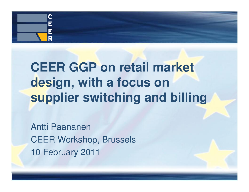

# **CEER GGP on retail market design, with a focus on supplier switching and billing**

Antti PaananenCEER Workshop, Brussels10 February 2011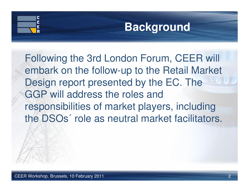

## **Background**

Following the 3rd London Forum, CEER will embark on the follow-up to the Retail Market Design report presented by the EC. The GGP will address the roles and responsibilities of market players, including the DSOs´ role as neutral market facilitators.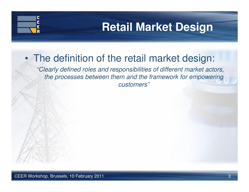## **Retail Market Design**

#### •The definition of the retail market design:

"Clearly defined roles and responsibilities of different market actors, the processes between them and the framework for empowering customers"

C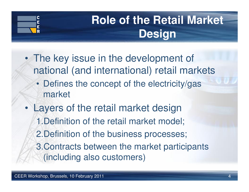

# **Role of the Retail Market Design**

- • The key issue in the development of national (and international) retail markets
	- Defines the concept of the electricity/gas market
- • Layers of the retail market design1.Definition of the retail market model;2.Definition of the business processes; 3.Contracts between the market participants (including also customers)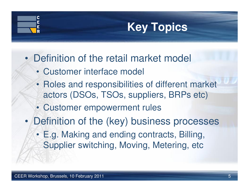# **Key Topics**

- • Definition of the retail market model
	- Customer interface model
	- Roles and responsibilities of different market actors (DSOs, TSOs, suppliers, BRPs etc)
	- Customer empowerment rules
- • Definition of the (key) business processes
	- E.g. Making and ending contracts, Billing, Supplier switching, Moving, Metering, etc

C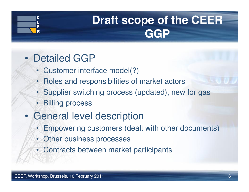

# **Draft scope of the CEER GGP**

- • Detailed GGP
	- Customer interface model(?)
	- Roles and responsibilities of market actors
	- Supplier switching process (updated), new for gas
	- Billing process
- • General level description
	- Empowering customers (dealt with other documents)
	- Other business processes
	- Contracts between market participants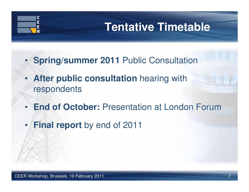# **Tentative Timetable**

- **Spring/summer 2011** Public Consultation
- •**After public consultation** hearing with respondents
- •**End of October: Presentation at London Forum**
- •**Final report** by end of 2011

C